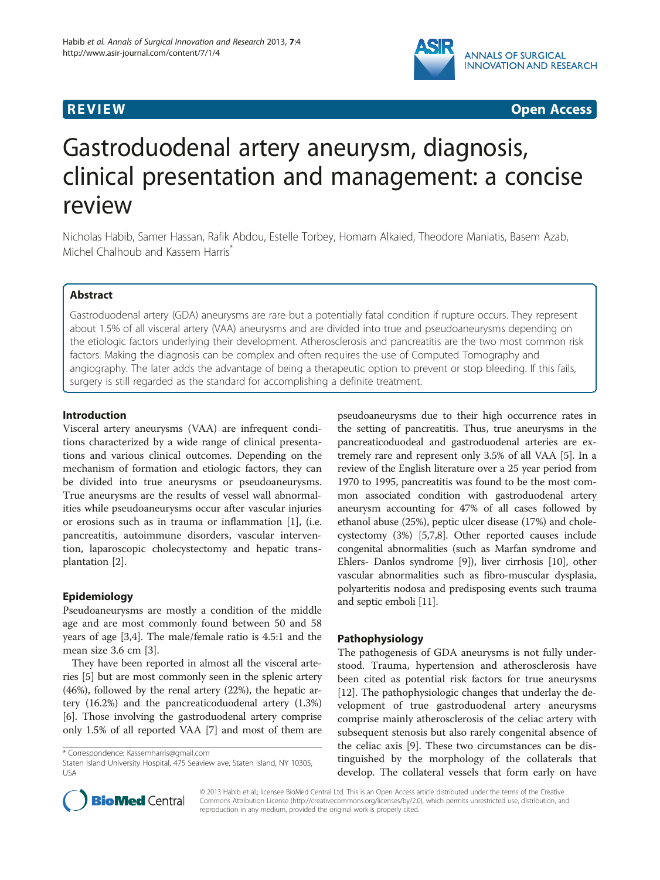## ANNALS OF SURGICAL **INNOVATION AND RESEARCH**

**REVIEW CONSTRUCTION CONSTRUCTION CONSTRUCTS** 

# Gastroduodenal artery aneurysm, diagnosis, clinical presentation and management: a concise review

Nicholas Habib, Samer Hassan, Rafik Abdou, Estelle Torbey, Homam Alkaied, Theodore Maniatis, Basem Azab, Michel Chalhoub and Kassem Harris<sup>7</sup>

### Abstract

Gastroduodenal artery (GDA) aneurysms are rare but a potentially fatal condition if rupture occurs. They represent about 1.5% of all visceral artery (VAA) aneurysms and are divided into true and pseudoaneurysms depending on the etiologic factors underlying their development. Atherosclerosis and pancreatitis are the two most common risk factors. Making the diagnosis can be complex and often requires the use of Computed Tomography and angiography. The later adds the advantage of being a therapeutic option to prevent or stop bleeding. If this fails, surgery is still regarded as the standard for accomplishing a definite treatment.

#### Introduction

Visceral artery aneurysms (VAA) are infrequent conditions characterized by a wide range of clinical presentations and various clinical outcomes. Depending on the mechanism of formation and etiologic factors, they can be divided into true aneurysms or pseudoaneurysms. True aneurysms are the results of vessel wall abnormalities while pseudoaneurysms occur after vascular injuries or erosions such as in trauma or inflammation [[1\]](#page-3-0), (i.e. pancreatitis, autoimmune disorders, vascular intervention, laparoscopic cholecystectomy and hepatic transplantation [\[2](#page-3-0)].

#### Epidemiology

Pseudoaneurysms are mostly a condition of the middle age and are most commonly found between 50 and 58 years of age [[3,4\]](#page-3-0). The male/female ratio is 4.5:1 and the mean size 3.6 cm [[3\]](#page-3-0).

They have been reported in almost all the visceral arteries [\[5\]](#page-3-0) but are most commonly seen in the splenic artery (46%), followed by the renal artery (22%), the hepatic artery (16.2%) and the pancreaticoduodenal artery (1.3%) [[6\]](#page-3-0). Those involving the gastroduodenal artery comprise only 1.5% of all reported VAA [[7](#page-4-0)] and most of them are

pseudoaneurysms due to their high occurrence rates in the setting of pancreatitis. Thus, true aneurysms in the pancreaticoduodeal and gastroduodenal arteries are extremely rare and represent only 3.5% of all VAA [[5\]](#page-3-0). In a review of the English literature over a 25 year period from 1970 to 1995, pancreatitis was found to be the most common associated condition with gastroduodenal artery aneurysm accounting for 47% of all cases followed by ethanol abuse (25%), peptic ulcer disease (17%) and cholecystectomy (3%) [[5,](#page-3-0)[7](#page-4-0),[8](#page-4-0)]. Other reported causes include congenital abnormalities (such as Marfan syndrome and Ehlers- Danlos syndrome [\[9\]](#page-4-0)), liver cirrhosis [\[10\]](#page-4-0), other vascular abnormalities such as fibro-muscular dysplasia, polyarteritis nodosa and predisposing events such trauma and septic emboli [[11](#page-4-0)].

#### Pathophysiology

The pathogenesis of GDA aneurysms is not fully understood. Trauma, hypertension and atherosclerosis have been cited as potential risk factors for true aneurysms [[12\]](#page-4-0). The pathophysiologic changes that underlay the development of true gastroduodenal artery aneurysms comprise mainly atherosclerosis of the celiac artery with subsequent stenosis but also rarely congenital absence of the celiac axis [\[9](#page-4-0)]. These two circumstances can be distinguished by the morphology of the collaterals that develop. The collateral vessels that form early on have



© 2013 Habib et al.; licensee BioMed Central Ltd. This is an Open Access article distributed under the terms of the Creative Commons Attribution License [\(http://creativecommons.org/licenses/by/2.0\)](http://creativecommons.org/licenses/by/2.0), which permits unrestricted use, distribution, and reproduction in any medium, provided the original work is properly cited.

<sup>\*</sup> Correspondence: [Kassemharris@gmail.com](mailto:Kassemharris@gmail.com)

Staten Island University Hospital, 475 Seaview ave, Staten Island, NY 10305, USA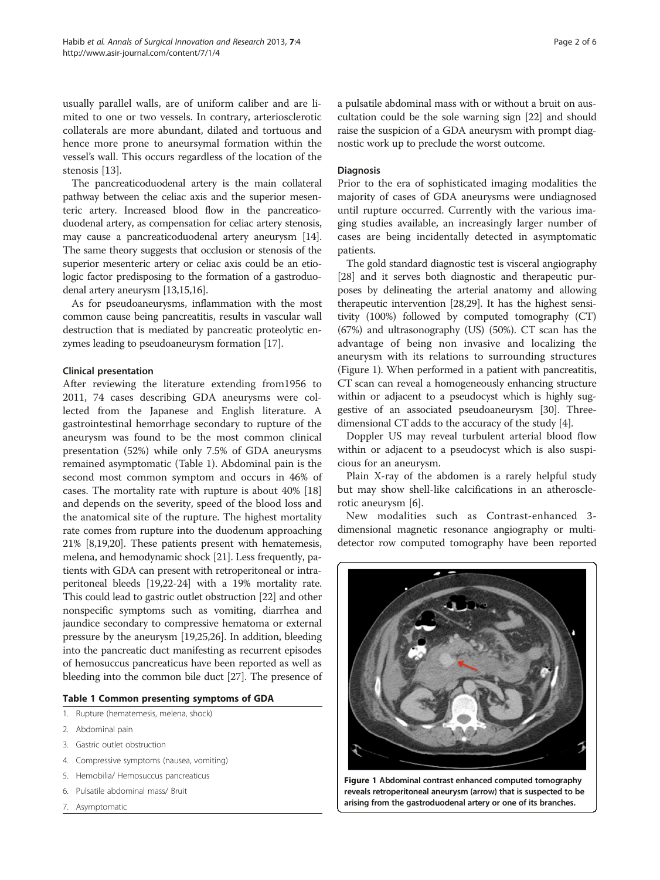usually parallel walls, are of uniform caliber and are limited to one or two vessels. In contrary, arteriosclerotic collaterals are more abundant, dilated and tortuous and hence more prone to aneursymal formation within the vessel's wall. This occurs regardless of the location of the stenosis [[13\]](#page-4-0).

The pancreaticoduodenal artery is the main collateral pathway between the celiac axis and the superior mesenteric artery. Increased blood flow in the pancreaticoduodenal artery, as compensation for celiac artery stenosis, may cause a pancreaticoduodenal artery aneurysm [[14](#page-4-0)]. The same theory suggests that occlusion or stenosis of the superior mesenteric artery or celiac axis could be an etiologic factor predisposing to the formation of a gastroduodenal artery aneurysm [\[13,15,16\]](#page-4-0).

As for pseudoaneurysms, inflammation with the most common cause being pancreatitis, results in vascular wall destruction that is mediated by pancreatic proteolytic enzymes leading to pseudoaneurysm formation [\[17\]](#page-4-0).

#### Clinical presentation

After reviewing the literature extending from1956 to 2011, 74 cases describing GDA aneurysms were collected from the Japanese and English literature. A gastrointestinal hemorrhage secondary to rupture of the aneurysm was found to be the most common clinical presentation (52%) while only 7.5% of GDA aneurysms remained asymptomatic (Table 1). Abdominal pain is the second most common symptom and occurs in 46% of cases. The mortality rate with rupture is about 40% [[18](#page-4-0)] and depends on the severity, speed of the blood loss and the anatomical site of the rupture. The highest mortality rate comes from rupture into the duodenum approaching 21% [\[8,19,20](#page-4-0)]. These patients present with hematemesis, melena, and hemodynamic shock [\[21](#page-4-0)]. Less frequently, patients with GDA can present with retroperitoneal or intraperitoneal bleeds [\[19,22](#page-4-0)-[24](#page-4-0)] with a 19% mortality rate. This could lead to gastric outlet obstruction [[22](#page-4-0)] and other nonspecific symptoms such as vomiting, diarrhea and jaundice secondary to compressive hematoma or external pressure by the aneurysm [\[19,25](#page-4-0),[26](#page-4-0)]. In addition, bleeding into the pancreatic duct manifesting as recurrent episodes of hemosuccus pancreaticus have been reported as well as bleeding into the common bile duct [\[27\]](#page-4-0). The presence of

#### Table 1 Common presenting symptoms of GDA

- 1. Rupture (hematemesis, melena, shock)
- 2. Abdominal pain
- 3. Gastric outlet obstruction
- 4. Compressive symptoms (nausea, vomiting)
- 5. Hemobilia/ Hemosuccus pancreaticus
- 6. Pulsatile abdominal mass/ Bruit
- 7. Asymptomatic

a pulsatile abdominal mass with or without a bruit on auscultation could be the sole warning sign [[22\]](#page-4-0) and should raise the suspicion of a GDA aneurysm with prompt diagnostic work up to preclude the worst outcome.

#### Diagnosis

Prior to the era of sophisticated imaging modalities the majority of cases of GDA aneurysms were undiagnosed until rupture occurred. Currently with the various imaging studies available, an increasingly larger number of cases are being incidentally detected in asymptomatic patients.

The gold standard diagnostic test is visceral angiography [[28](#page-4-0)] and it serves both diagnostic and therapeutic purposes by delineating the arterial anatomy and allowing therapeutic intervention [\[28,29\]](#page-4-0). It has the highest sensitivity (100%) followed by computed tomography (CT) (67%) and ultrasonography (US) (50%). CT scan has the advantage of being non invasive and localizing the aneurysm with its relations to surrounding structures (Figure 1). When performed in a patient with pancreatitis, CT scan can reveal a homogeneously enhancing structure within or adjacent to a pseudocyst which is highly suggestive of an associated pseudoaneurysm [\[30\]](#page-4-0). Threedimensional CT adds to the accuracy of the study [[4](#page-3-0)].

Doppler US may reveal turbulent arterial blood flow within or adjacent to a pseudocyst which is also suspicious for an aneurysm.

Plain X-ray of the abdomen is a rarely helpful study but may show shell-like calcifications in an atherosclerotic aneurysm [\[6](#page-3-0)].

New modalities such as Contrast-enhanced 3 dimensional magnetic resonance angiography or multidetector row computed tomography have been reported



Figure 1 Abdominal contrast enhanced computed tomography reveals retroperitoneal aneurysm (arrow) that is suspected to be arising from the gastroduodenal artery or one of its branches.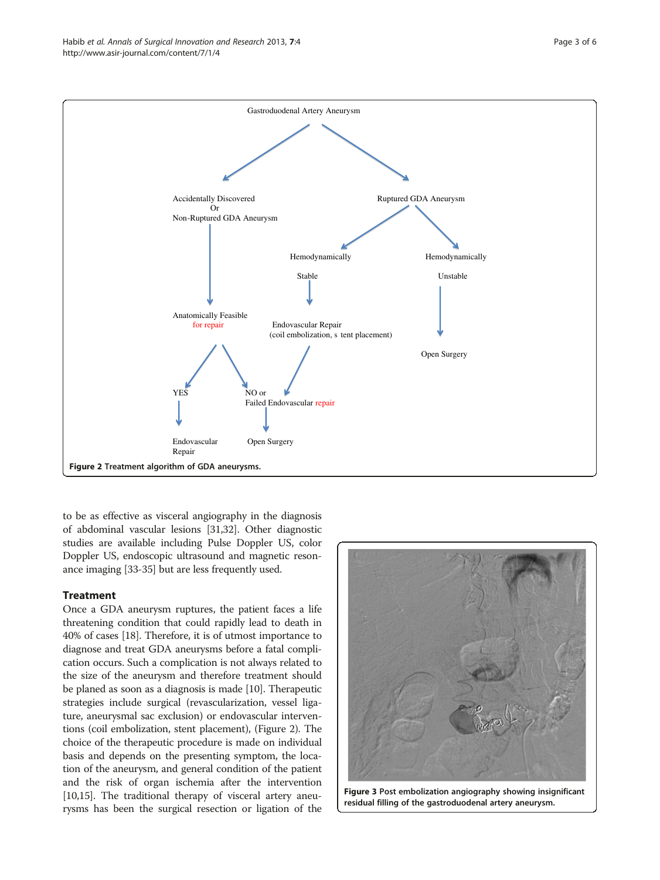<span id="page-2-0"></span>

to be as effective as visceral angiography in the diagnosis of abdominal vascular lesions [[31,32\]](#page-4-0). Other diagnostic studies are available including Pulse Doppler US, color Doppler US, endoscopic ultrasound and magnetic resonance imaging [\[33-35\]](#page-4-0) but are less frequently used.

#### **Treatment**

Once a GDA aneurysm ruptures, the patient faces a life threatening condition that could rapidly lead to death in 40% of cases [[18\]](#page-4-0). Therefore, it is of utmost importance to diagnose and treat GDA aneurysms before a fatal complication occurs. Such a complication is not always related to the size of the aneurysm and therefore treatment should be planed as soon as a diagnosis is made [[10](#page-4-0)]. Therapeutic strategies include surgical (revascularization, vessel ligature, aneurysmal sac exclusion) or endovascular interventions (coil embolization, stent placement), (Figure 2). The choice of the therapeutic procedure is made on individual basis and depends on the presenting symptom, the location of the aneurysm, and general condition of the patient and the risk of organ ischemia after the intervention [[10,15](#page-4-0)]. The traditional therapy of visceral artery aneurysms has been the surgical resection or ligation of the



Figure 3 Post embolization angiography showing insignificant residual filling of the gastroduodenal artery aneurysm.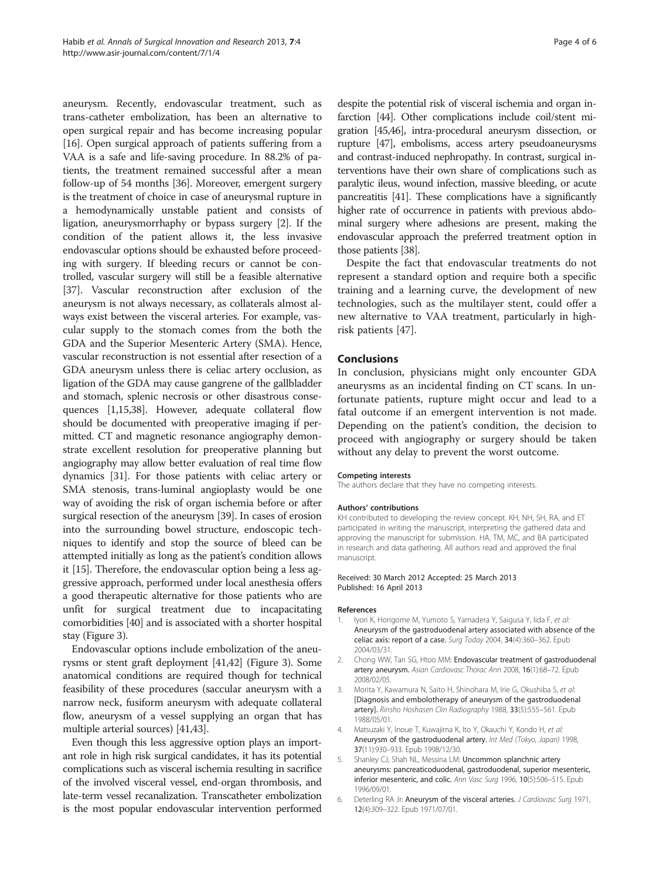<span id="page-3-0"></span>aneurysm. Recently, endovascular treatment, such as trans-catheter embolization, has been an alternative to open surgical repair and has become increasing popular [[16](#page-4-0)]. Open surgical approach of patients suffering from a VAA is a safe and life-saving procedure. In 88.2% of patients, the treatment remained successful after a mean follow-up of 54 months [[36](#page-4-0)]. Moreover, emergent surgery is the treatment of choice in case of aneurysmal rupture in a hemodynamically unstable patient and consists of ligation, aneurysmorrhaphy or bypass surgery [2]. If the condition of the patient allows it, the less invasive endovascular options should be exhausted before proceeding with surgery. If bleeding recurs or cannot be controlled, vascular surgery will still be a feasible alternative [[37](#page-4-0)]. Vascular reconstruction after exclusion of the aneurysm is not always necessary, as collaterals almost always exist between the visceral arteries. For example, vascular supply to the stomach comes from the both the GDA and the Superior Mesenteric Artery (SMA). Hence, vascular reconstruction is not essential after resection of a GDA aneurysm unless there is celiac artery occlusion, as ligation of the GDA may cause gangrene of the gallbladder and stomach, splenic necrosis or other disastrous consequences [1,[15,38\]](#page-4-0). However, adequate collateral flow should be documented with preoperative imaging if permitted. CT and magnetic resonance angiography demonstrate excellent resolution for preoperative planning but angiography may allow better evaluation of real time flow dynamics [\[31](#page-4-0)]. For those patients with celiac artery or SMA stenosis, trans-luminal angioplasty would be one way of avoiding the risk of organ ischemia before or after surgical resection of the aneurysm [\[39\]](#page-4-0). In cases of erosion into the surrounding bowel structure, endoscopic techniques to identify and stop the source of bleed can be attempted initially as long as the patient's condition allows it [\[15\]](#page-4-0). Therefore, the endovascular option being a less aggressive approach, performed under local anesthesia offers a good therapeutic alternative for those patients who are unfit for surgical treatment due to incapacitating comorbidities [[40](#page-4-0)] and is associated with a shorter hospital stay (Figure [3](#page-2-0)).

Endovascular options include embolization of the aneurysms or stent graft deployment [[41,42](#page-4-0)] (Figure 3). Some anatomical conditions are required though for technical feasibility of these procedures (saccular aneurysm with a narrow neck, fusiform aneurysm with adequate collateral flow, aneurysm of a vessel supplying an organ that has multiple arterial sources) [\[41,43](#page-4-0)].

Even though this less aggressive option plays an important role in high risk surgical candidates, it has its potential complications such as visceral ischemia resulting in sacrifice of the involved visceral vessel, end-organ thrombosis, and late-term vessel recanalization. Transcatheter embolization is the most popular endovascular intervention performed despite the potential risk of visceral ischemia and organ infarction [[44](#page-4-0)]. Other complications include coil/stent migration [[45,46\]](#page-4-0), intra-procedural aneurysm dissection, or rupture [\[47\]](#page-5-0), embolisms, access artery pseudoaneurysms and contrast-induced nephropathy. In contrast, surgical interventions have their own share of complications such as paralytic ileus, wound infection, massive bleeding, or acute pancreatitis [[41](#page-4-0)]. These complications have a significantly higher rate of occurrence in patients with previous abdominal surgery where adhesions are present, making the endovascular approach the preferred treatment option in those patients [[38\]](#page-4-0).

Despite the fact that endovascular treatments do not represent a standard option and require both a specific training and a learning curve, the development of new technologies, such as the multilayer stent, could offer a new alternative to VAA treatment, particularly in highrisk patients [[47\]](#page-5-0).

#### Conclusions

In conclusion, physicians might only encounter GDA aneurysms as an incidental finding on CT scans. In unfortunate patients, rupture might occur and lead to a fatal outcome if an emergent intervention is not made. Depending on the patient's condition, the decision to proceed with angiography or surgery should be taken without any delay to prevent the worst outcome.

#### Competing interests

The authors declare that they have no competing interests.

#### Authors' contributions

KH contributed to developing the review concept. KH, NH, SH, RA, and ET participated in writing the manuscript, interpreting the gathered data and approving the manuscript for submission. HA, TM, MC, and BA participated in research and data gathering. All authors read and approved the final manuscript.

#### Received: 30 March 2012 Accepted: 25 March 2013 Published: 16 April 2013

#### References

- Iyori K, Horigome M, Yumoto S, Yamadera Y, Saigusa Y, Iida F, et al: Aneurysm of the gastroduodenal artery associated with absence of the celiac axis: report of a case. Surg Today 2004, 34(4):360–362. Epub 2004/03/31.
- 2. Chong WW, Tan SG, Htoo MM: Endovascular treatment of gastroduodenal artery aneurysm. Asian Cardiovasc Thorac Ann 2008, 16(1):68–72. Epub 2008/02/05.
- 3. Morita Y, Kawamura N, Saito H, Shinohara M, Irie G, Okushiba S, et al: [Diagnosis and embolotherapy of aneurysm of the gastroduodenal artery]. Rinsho Hoshasen Clin Radiography 1988, 33(5):555-561. Epub 1988/05/01.
- 4. Matsuzaki Y, Inoue T, Kuwajima K, Ito Y, Okauchi Y, Kondo H, et al: Aneurysm of the gastroduodenal artery. Int Med (Tokyo, Japan) 1998, 37(11):930–933. Epub 1998/12/30.
- 5. Shanley CJ, Shah NL, Messina LM: Uncommon splanchnic artery aneurysms: pancreaticoduodenal, gastroduodenal, superior mesenteric, inferior mesenteric, and colic. Ann Vasc Surg 1996, 10(5):506–515. Epub 1996/09/01.
- 6. Deterling RA Jr: Aneurysm of the visceral arteries. J Cardiovasc Surg 1971, 12(4):309–322. Epub 1971/07/01.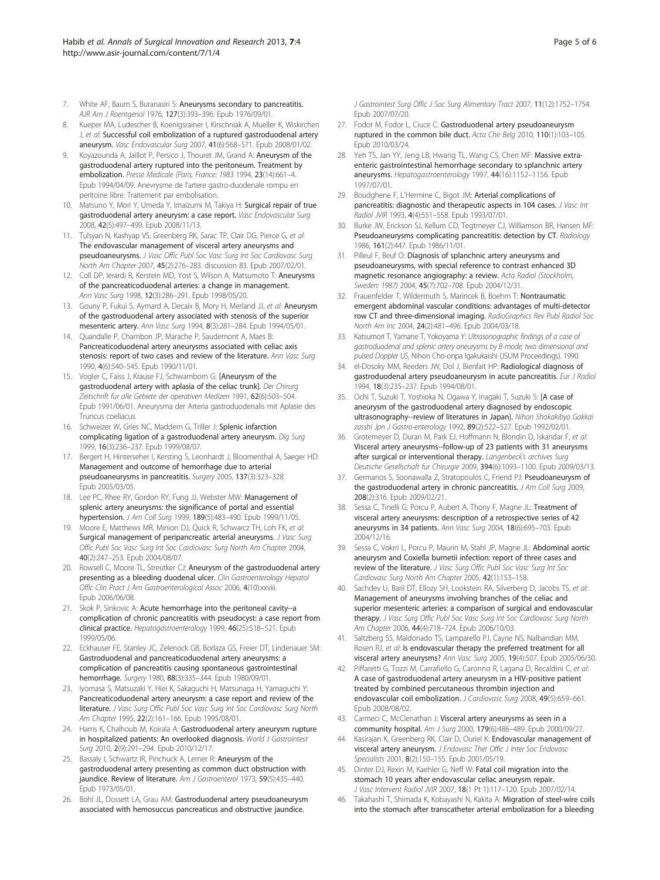- <span id="page-4-0"></span>7. White AF, Baum S, Buranasiri S: Aneurysms secondary to pancreatitis. AJR Am J Roentgenol 1976, 127(3):393–396. Epub 1976/09/01.
- 8. Kueper MA, Ludescher B, Koenigsrainer I, Kirschniak A, Mueller K, Wiskirchen J, et al: Successful coil embolization of a ruptured gastroduodenal artery aneurysm. Vasc Endovascular Surg 2007, 41(6):568–571. Epub 2008/01/02.
- 9. Koyazounda A, Jaillot P, Persico J, Thouret JM, Grand A: Aneurysm of the gastroduodenal artery ruptured into the peritoneum. Treatment by embolization. Presse Medicale (Paris, France: 1983 1994, 23(14):661-4. Epub 1994/04/09. Anevrysme de l'artere gastro-duodenale rompu en peritoine libre. Traitement par embolisation.
- 10. Matsuno Y, Mori Y, Umeda Y, Imaizumi M, Takiya H: Surgical repair of true gastroduodenal artery aneurysm: a case report. Vasc Endovascular Surg 2008, 42(5):497–499. Epub 2008/11/13.
- 11. Tulsyan N, Kashyap VS, Greenberg RK, Sarac TP, Clair DG, Pierce G, et al: The endovascular management of visceral artery aneurysms and pseudoaneurysms. J Vasc Offic Publ Soc Vasc Surg Int Soc Cardiovasc Surg North Am Chapter 2007, 45(2):276–283. discussion 83. Epub 2007/02/01.
- 12. Coll DP, Ierardi R, Kerstein MD, Yost S, Wilson A, Matsumoto T: Aneurysms of the pancreaticoduodenal arteries: a change in management. Ann Vasc Surg 1998, 12(3):286–291. Epub 1998/05/20.
- 13. Gouny P, Fukui S, Aymard A, Decaix B, Mory H, Merland JJ, et al: Aneurysm of the gastroduodenal artery associated with stenosis of the superior mesenteric artery. Ann Vasc Surg 1994, 8(3):281–284. Epub 1994/05/01.
- 14. Quandalle P, Chambon JP, Marache P, Saudemont A, Maes B: Pancreaticoduodenal artery aneurysms associated with celiac axis stenosis: report of two cases and review of the literature. Ann Vasc Surg 1990, 4(6):540–545. Epub 1990/11/01.
- 15. Vogler C, Faiss J, Krause FJ, Schwamborn G: [Aneurysm of the gastroduodenal artery with aplasia of the celiac trunk]. Der Chirurg Zeitschrift fur alle Gebiete der operativen Medizen 1991, 62(6):503-504. Epub 1991/06/01. Aneurysma der Arteria gastroduodenalis mit Aplasie des Truncus coeliacus.
- 16. Schweizer W, Gries NC, Maddern G, Triller J: Splenic infarction complicating ligation of a gastroduodenal artery aneurysm. Dig Surg 1999, 16(3):236–237. Epub 1999/08/07.
- 17. Bergert H, Hinterseher I, Kersting S, Leonhardt J, Bloomenthal A, Saeger HD: Management and outcome of hemorrhage due to arterial pseudoaneurysms in pancreatitis. Surgery 2005, 137(3):323–328. Epub 2005/03/05.
- 18. Lee PC, Rhee RY, Gordon RY, Fung JJ, Webster MW: Management of splenic artery aneurysms: the significance of portal and essential hypertension. J Am Coll Surg 1999, 189(5):483–490. Epub 1999/11/05.
- 19. Moore E, Matthews MR, Minion DJ, Quick R, Schwarcz TH, Loh FK, et al: Surgical management of peripancreatic arterial aneurysms. J Vasc Surg Offic Publ Soc Vasc Surg Int Soc Cardiovasc Surg North Am Chapter 2004, 40(2):247–253. Epub 2004/08/07.
- 20. Rowsell C, Moore TL, Streutker CJ: Aneurysm of the gastroduodenal artery presenting as a bleeding duodenal ulcer. Clin Gastroenterology Hepatol Offic Clin Pract J Am Gastroenterological Assoc 2006, 4(10):xxviii. Epub 2006/06/08.
- 21. Skok P, Sinkovic A: Acute hemorrhage into the peritoneal cavity--a complication of chronic pancreatitis with pseudocyst: a case report from clinical practice. Hepatogastroenterology 1999, 46(25):518–521. Epub 1999/05/06.
- 22. Eckhauser FE, Stanley JC, Zelenock GB, Borlaza GS, Freier DT, Lindenauer SM: Gastroduodenal and pancreaticoduodenal artery aneurysms: a complication of pancreatitis causing spontaneous gastrointestinal hemorrhage. Surgery 1980, 88(3):335–344. Epub 1980/09/01.
- 23. Iyomasa S, Matsuzaki Y, Hiei K, Sakaguchi H, Matsunaga H, Yamaguchi Y: Pancreaticoduodenal artery aneurysm: a case report and review of the literature. J Vasc Surg Offic Publ Soc Vasc Surg Int Soc Cardiovasc Surg North Am Chapter 1995, 22(2):161–166. Epub 1995/08/01.
- 24. Harris K, Chalhoub M, Koirala A: Gastroduodenal artery aneurysm rupture in hospitalized patients: An overlooked diagnosis. World J Gastrointest Surg 2010, 2(9):291–294. Epub 2010/12/17.
- 25. Bassaly I, Schwartz IR, Pinchuck A, Lerner R: Aneurysm of the gastroduodenal artery presenting as common duct obstruction with jaundice. Review of literature. Am J Gastroenterol 1973, 59(5):435-440. Epub 1973/05/01.
- 26. Bohl JL, Dossett LA, Grau AM: Gastroduodenal artery pseudoaneurysm associated with hemosuccus pancreaticus and obstructive jaundice.

J Gastrointest Surg Offic J Soc Surg Alimentary Tract 2007, 11(12):1752–1754. Epub 2007/07/20.

- 27. Fodor M, Fodor L, Ciuce C: Gastroduodenal artery pseudoaneurysm ruptured in the common bile duct. Acta Chir Belg 2010, 110(1):103–105. Epub 2010/03/24.
- 28. Yeh TS, Jan YY, Jeng LB, Hwang TL, Wang CS, Chen MF: Massive extraenteric gastrointestinal hemorrhage secondary to splanchnic artery aneurysms. Hepatogastroenterology 1997, 44(16):1152–1156. Epub 1997/07/01.
- 29. Boudghene F, L'Hermine C, Bigot JM: Arterial complications of pancreatitis: diagnostic and therapeutic aspects in 104 cases. J Vasc Int Radiol JVIR 1993, 4(4):551–558. Epub 1993/07/01.
- 30. Burke JW, Erickson SJ, Kellum CD, Tegtmeyer CJ, Williamson BR, Hansen MF: Pseudoaneurysms complicating pancreatitis: detection by CT. Radiology 1986, 161(2):447. Epub 1986/11/01.
- 31. Pilleul F, Beuf O: Diagnosis of splanchnic artery aneurysms and pseudoaneurysms, with special reference to contrast enhanced 3D magnetic resonance angiography: a review. Acta Radiol (Stockholm, Sweden: 1987) 2004, 45(7):702–708. Epub 2004/12/31.
- 32. Frauenfelder T, Wildermuth S, Marincek B, Boehm T: Nontraumatic emergent abdominal vascular conditions: advantages of multi-detector row CT and three-dimensional imaging. RadioGraphics Rev Publ Radiol Soc North Am Inc 2004, 24(2):481–496. Epub 2004/03/18.
- 33. Katsumori T, Yamane T, Yokoyama Y: Ultrasonographic findings of a case of gastroduodenal and splenic artery aneurysms by B-mode, two dimensional and pulsed Doppler US, Nihon Cho-onpa Igakukaishi (JSUM Proceedings). 1990.
- 34. el-Dosoky MM, Reeders JW, Dol J, Bienfait HP: Radiological diagnosis of gastroduodenal artery pseudoaneurysm in acute pancreatitis. Eur J Radiol 1994, 18(3):235–237. Epub 1994/08/01.
- 35. Ochi T, Suzuki T, Yoshioka N, Ogawa Y, Inagaki T, Suzuki S: [A case of aneurysm of the gastroduodenal artery diagnosed by endoscopic ultrasonography--review of literatures in Japan]. Nihon Shokakibyo Gakkai zasshi Jpn J Gastro-enterology 1992, 89(2):522–527. Epub 1992/02/01.
- 36. Grotemeyer D, Duran M, Park EJ, Hoffmann N, Blondin D, Iskandar F, et al: Visceral artery aneurysms--follow-up of 23 patients with 31 aneurysms after surgical or interventional therapy. Langenbeck's archives Surg Deutsche Gesellschaft fur Chirurgie 2009, 394(6):1093–1100. Epub 2009/03/13.
- 37. Germanos S, Soonawalla Z, Stratopoulos C, Friend PJ: Pseudoaneurysm of the gastroduodenal artery in chronic pancreatitis. J Am Coll Surg 2009, 208(2):316. Epub 2009/02/21.
- 38. Sessa C, Tinelli G, Porcu P, Aubert A, Thony F, Magne JL: Treatment of visceral artery aneurysms: description of a retrospective series of 42 aneurysms in 34 patients. Ann Vasc Surg 2004, 18(6):695–703. Epub 2004/12/16.
- 39. Sessa C, Vokrri L, Porcu P, Maurin M, Stahl JP, Magne JL: Abdominal aortic aneurysm and Coxiella burnetii infection: report of three cases and review of the literature. J Vasc Surg Offic Publ Soc Vasc Surg Int Soc Cardiovasc Surg North Am Chapter 2005, 42(1):153–158.
- 40. Sachdev U, Baril DT, Ellozy SH, Lookstein RA, Silverberg D, Jacobs TS, et al: Management of aneurysms involving branches of the celiac and superior mesenteric arteries: a comparison of surgical and endovascular therapy. J Vasc Surg Offic Publ Soc Vasc Surg Int Soc Cardiovasc Surg North Am Chapter 2006, 44(4):718–724. Epub 2006/10/03.
- 41. Saltzberg SS, Maldonado TS, Lamparello PJ, Cayne NS, Nalbandian MM, Rosen RJ, et al: Is endovascular therapy the preferred treatment for all visceral artery aneurysms? Ann Vasc Surg 2005, 19(4):507. Epub 2005/06/30.
- 42. Piffaretti G, Tozzi M, Carrafiello G, Caronno R, Lagana D, Recaldini C, et al: A case of gastroduodenal artery aneurysm in a HIV-positive patient treated by combined percutaneous thrombin injection and endovascular coil embolization. J Cardiovasc Surg 2008, 49(5):659–661. Epub 2008/08/02.
- 43. Carmeci C, McClenathan J: Visceral artery aneurysms as seen in a community hospital. Am J Surg 2000, 179(6):486–489. Epub 2000/09/27.
- 44. Kasirajan K, Greenberg RK, Clair D, Ouriel K: Endovascular management of visceral artery aneurysm. J Endovasc Ther Offic J Inter Soc Endovasc Specialists 2001, 8(2):150-155. Epub 2001/05/19.
- 45. Dinter DJ, Rexin M, Kaehler G, Neff W: Fatal coil migration into the stomach 10 years after endovascular celiac aneurysm repair. J Vasc Intervent Radiol JVIR 2007, 18(1 Pt 1):117–120. Epub 2007/02/14.
- 46. Takahashi T, Shimada K, Kobayashi N, Kakita A: Migration of steel-wire coils into the stomach after transcatheter arterial embolization for a bleeding